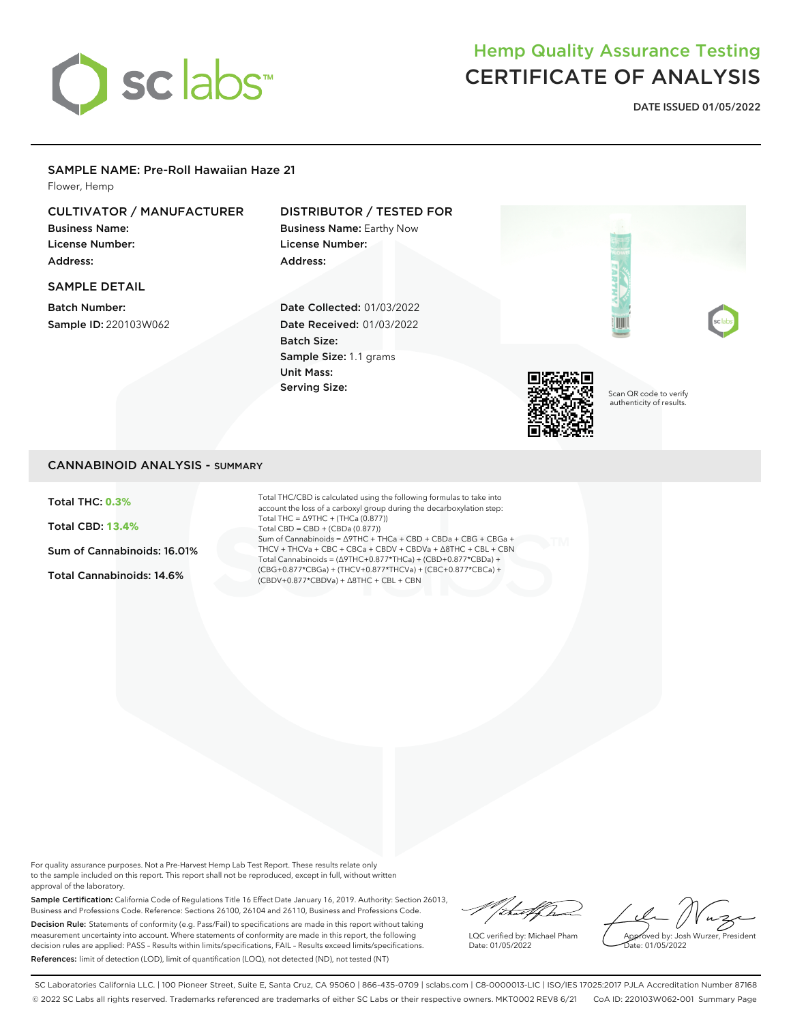

# Hemp Quality Assurance Testing CERTIFICATE OF ANALYSIS

**DATE ISSUED 01/05/2022**

### SAMPLE NAME: Pre-Roll Hawaiian Haze 21

Flower, Hemp

### CULTIVATOR / MANUFACTURER

Business Name: License Number: Address:

### SAMPLE DETAIL

Batch Number: Sample ID: 220103W062

## DISTRIBUTOR / TESTED FOR

Business Name: Earthy Now License Number: Address:

Date Collected: 01/03/2022 Date Received: 01/03/2022 Batch Size: Sample Size: 1.1 grams Unit Mass: Serving Size:



Scan QR code to verify authenticity of results.

### CANNABINOID ANALYSIS - SUMMARY

Total THC: **0.3%**

Total CBD: **13.4%**

Sum of Cannabinoids: 16.01%

Total Cannabinoids: 14.6%

Total THC/CBD is calculated using the following formulas to take into account the loss of a carboxyl group during the decarboxylation step: Total THC = ∆9THC + (THCa (0.877)) Total CBD = CBD + (CBDa (0.877)) Sum of Cannabinoids = ∆9THC + THCa + CBD + CBDa + CBG + CBGa + THCV + THCVa + CBC + CBCa + CBDV + CBDVa + ∆8THC + CBL + CBN Total Cannabinoids = (∆9THC+0.877\*THCa) + (CBD+0.877\*CBDa) + (CBG+0.877\*CBGa) + (THCV+0.877\*THCVa) + (CBC+0.877\*CBCa) + (CBDV+0.877\*CBDVa) + ∆8THC + CBL + CBN

For quality assurance purposes. Not a Pre-Harvest Hemp Lab Test Report. These results relate only to the sample included on this report. This report shall not be reproduced, except in full, without written approval of the laboratory.

Sample Certification: California Code of Regulations Title 16 Effect Date January 16, 2019. Authority: Section 26013, Business and Professions Code. Reference: Sections 26100, 26104 and 26110, Business and Professions Code. Decision Rule: Statements of conformity (e.g. Pass/Fail) to specifications are made in this report without taking measurement uncertainty into account. Where statements of conformity are made in this report, the following decision rules are applied: PASS – Results within limits/specifications, FAIL – Results exceed limits/specifications. References: limit of detection (LOD), limit of quantification (LOQ), not detected (ND), not tested (NT)

"/ital/ha

LQC verified by: Michael Pham Date: 01/05/2022

Approved by: Josh Wurzer, President Date: 01/05/2022

SC Laboratories California LLC. | 100 Pioneer Street, Suite E, Santa Cruz, CA 95060 | 866-435-0709 | sclabs.com | C8-0000013-LIC | ISO/IES 17025:2017 PJLA Accreditation Number 87168 © 2022 SC Labs all rights reserved. Trademarks referenced are trademarks of either SC Labs or their respective owners. MKT0002 REV8 6/21 CoA ID: 220103W062-001 Summary Page